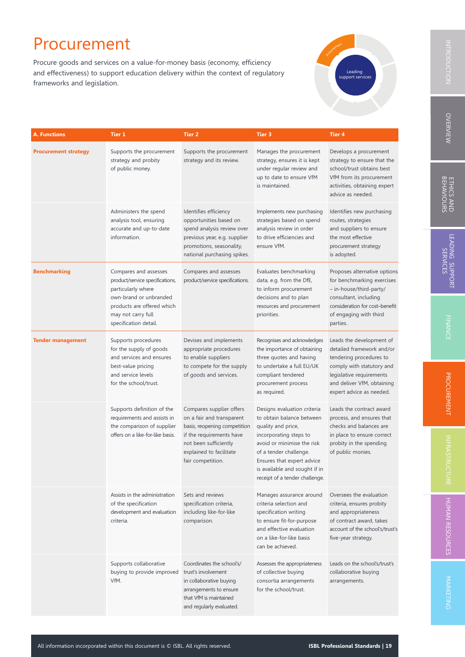Procure goods and services on a value-for-money basis (economy, efficiency and effectiveness) to support education delivery within the context of regulatory frameworks and legislation.



| A. Functions                | <b>Tier 1</b>                                                                                                                                                                         | <b>Tier 2</b>                                                                                                                                                                              | Tier 3                                                                                                                                                                                                                                                            | <b>Tier 4</b>                                                                                                                                                                                       |
|-----------------------------|---------------------------------------------------------------------------------------------------------------------------------------------------------------------------------------|--------------------------------------------------------------------------------------------------------------------------------------------------------------------------------------------|-------------------------------------------------------------------------------------------------------------------------------------------------------------------------------------------------------------------------------------------------------------------|-----------------------------------------------------------------------------------------------------------------------------------------------------------------------------------------------------|
| <b>Procurement strategy</b> | Supports the procurement<br>strategy and probity<br>of public money.                                                                                                                  | Supports the procurement<br>strategy and its review.                                                                                                                                       | Manages the procurement<br>strategy, ensures it is kept<br>under regular review and<br>up to date to ensure VfM<br>is maintained.                                                                                                                                 | Develops a procurement<br>strategy to ensure that the<br>school/trust obtains best<br>VfM from its procurement<br>activities, obtaining expert<br>advice as needed.                                 |
|                             | Administers the spend<br>analysis tool, ensuring<br>accurate and up-to-date<br>information.                                                                                           | Identifies efficiency<br>opportunities based on<br>spend analysis review over<br>previous year, e.g. supplier<br>promotions, seasonality,<br>national purchasing spikes.                   | Implements new purchasing<br>strategies based on spend<br>analysis review in order<br>to drive efficiencies and<br>ensure VfM.                                                                                                                                    | Identifies new purchasing<br>routes, strategies<br>and suppliers to ensure<br>the most effective<br>procurement strategy<br>is adopted.                                                             |
| <b>Benchmarking</b>         | Compares and assesses<br>product/service specifications,<br>particularly where<br>own-brand or unbranded<br>products are offered which<br>may not carry full<br>specification detail. | Compares and assesses<br>product/service specifications.                                                                                                                                   | Evaluates benchmarking<br>data, e.g. from the DfE,<br>to inform procurement<br>decisions and to plan<br>resources and procurement<br>priorities.                                                                                                                  | Proposes alternative options<br>for benchmarking exercises<br>- in-house/third-party/<br>consultant, including<br>consideration for cost-benefit<br>of engaging with third<br>parties.              |
| <b>Tender management</b>    | Supports procedures<br>for the supply of goods<br>and services and ensures<br>best-value pricing<br>and service levels<br>for the school/trust.                                       | Devises and implements<br>appropriate procedures<br>to enable suppliers<br>to compete for the supply<br>of goods and services.                                                             | Recognises and acknowledges<br>the importance of obtaining<br>three quotes and having<br>to undertake a full EU/UK<br>compliant tendered<br>procurement process<br>as required.                                                                                   | Leads the development of<br>detailed framework and/or<br>tendering procedures to<br>comply with statutory and<br>legislative requirements<br>and deliver VfM, obtaining<br>expert advice as needed. |
|                             | Supports definition of the<br>requirements and assists in<br>the comparison of supplier<br>offers on a like-for-like basis.                                                           | Compares supplier offers<br>on a fair and transparent<br>basis, reopening competition<br>if the requirements have<br>not been sufficiently<br>explained to facilitate<br>fair competition. | Designs evaluation criteria<br>to obtain balance between<br>quality and price,<br>incorporating steps to<br>avoid or minimise the risk<br>of a tender challenge.<br>Ensures that expert advice<br>is available and sought if in<br>receipt of a tender challenge. | Leads the contract award<br>process, and ensures that<br>checks and balances are<br>in place to ensure correct<br>probity in the spending<br>of public monies.                                      |
|                             | Assists in the administration<br>of the specification<br>development and evaluation<br>criteria.                                                                                      | Sets and reviews<br>specification criteria,<br>including like-for-like<br>comparison.                                                                                                      | Manages assurance around<br>criteria selection and<br>specification writing<br>to ensure fit-for-purpose<br>and effective evaluation<br>on a like-for-like basis<br>can be achieved.                                                                              | Oversees the evaluation<br>criteria, ensures probity<br>and appropriateness<br>of contract award, takes<br>account of the school's/trust's<br>five-year strategy.                                   |
|                             | Supports collaborative<br>buying to provide improved<br>VfM.                                                                                                                          | Coordinates the school's/<br>trust's involvement<br>in collaborative buying<br>arrangements to ensure<br>that VfM is maintained                                                            | Assesses the appropriateness<br>of collective buying<br>consortia arrangements<br>for the school/trust.                                                                                                                                                           | Leads on the school's/trust's<br>collaborative buying<br>arrangements.                                                                                                                              |

and regularly evaluated.

**OVERVIEW** VERVIEW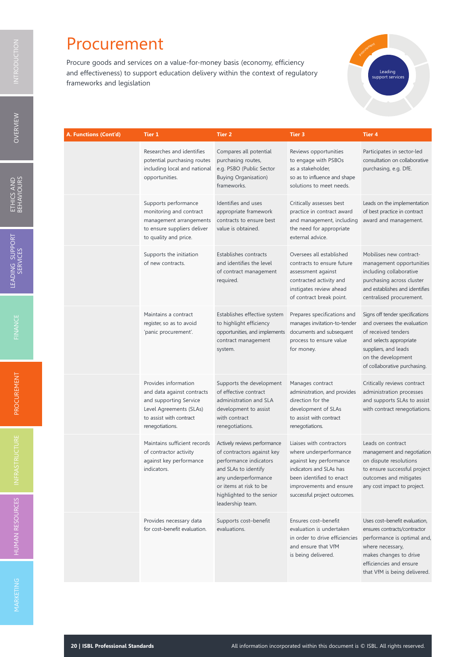Procure goods and services on a value-for-money basis (economy, efficiency and effectiveness) to support education delivery within the context of regulatory frameworks and legislation

| erocytement | Leading<br>support services |
|-------------|-----------------------------|
|             |                             |

| A. Functions (Cont'd) | Tier 1                                                                                                                                                | <b>Tier 2</b>                                                                                                                                                                                                   | <b>Tier 3</b>                                                                                                                                                                                   | <b>Tier 4</b>                                                                                                                                                                                         |
|-----------------------|-------------------------------------------------------------------------------------------------------------------------------------------------------|-----------------------------------------------------------------------------------------------------------------------------------------------------------------------------------------------------------------|-------------------------------------------------------------------------------------------------------------------------------------------------------------------------------------------------|-------------------------------------------------------------------------------------------------------------------------------------------------------------------------------------------------------|
|                       | Researches and identifies<br>potential purchasing routes<br>including local and national<br>opportunities.                                            | Compares all potential<br>purchasing routes,<br>e.g. PSBO (Public Sector<br><b>Buying Organisation)</b><br>frameworks.                                                                                          | Reviews opportunities<br>to engage with PSBOs<br>as a stakeholder,<br>so as to influence and shape<br>solutions to meet needs.                                                                  | Participates in sector-led<br>consultation on collaborative<br>purchasing, e.g. DfE.                                                                                                                  |
|                       | Supports performance<br>monitoring and contract<br>management arrangements<br>to ensure suppliers deliver<br>to quality and price.                    | Identifies and uses<br>appropriate framework<br>contracts to ensure best<br>value is obtained.                                                                                                                  | Critically assesses best<br>practice in contract award<br>and management, including<br>the need for appropriate<br>external advice.                                                             | Leads on the implementation<br>of best practice in contract<br>award and management.                                                                                                                  |
|                       | Supports the initiation<br>of new contracts.                                                                                                          | Establishes contracts<br>and identifies the level<br>of contract management<br>required.                                                                                                                        | Oversees all established<br>contracts to ensure future<br>assessment against<br>contracted activity and<br>instigates review ahead<br>of contract break point.                                  | Mobilises new contract-<br>management opportunities<br>including collaborative<br>purchasing across cluster<br>and establishes and identifies<br>centralised procurement.                             |
|                       | Maintains a contract<br>register, so as to avoid<br>'panic procurement'.                                                                              | Establishes effective system<br>to highlight efficiency<br>opportunities, and implements<br>contract management<br>system.                                                                                      | Prepares specifications and<br>manages invitation-to-tender<br>documents and subsequent<br>process to ensure value<br>for money.                                                                | Signs off tender specifications<br>and oversees the evaluation<br>of received tenders<br>and selects appropriate<br>suppliers, and leads<br>on the development<br>of collaborative purchasing.        |
|                       | Provides information<br>and data against contracts<br>and supporting Service<br>Level Agreements (SLAs)<br>to assist with contract<br>renegotiations. | Supports the development<br>of effective contract<br>administration and SLA<br>development to assist<br>with contract<br>renegotiations.                                                                        | Manages contract<br>administration, and provides<br>direction for the<br>development of SLAs<br>to assist with contract<br>renegotiations.                                                      | Critically reviews contract<br>administration processes<br>and supports SLAs to assist<br>with contract renegotiations.                                                                               |
|                       | Maintains sufficient records<br>of contractor activity<br>against key performance<br>indicators.                                                      | Actively reviews performance<br>of contractors against key<br>performance indicators<br>and SLAs to identify<br>any underperformance<br>or items at risk to be<br>highlighted to the senior<br>leadership team. | Liaises with contractors<br>where underperformance<br>against key performance<br>indicators and SLAs has<br>been identified to enact<br>improvements and ensure<br>successful project outcomes. | Leads on contract<br>management and negotiation<br>on dispute resolutions<br>to ensure successful project<br>outcomes and mitigates<br>any cost impact to project.                                    |
|                       | Provides necessary data<br>for cost-benefit evaluation.                                                                                               | Supports cost-benefit<br>evaluations.                                                                                                                                                                           | Ensures cost-benefit<br>evaluation is undertaken<br>in order to drive efficiencies<br>and ensure that VfM<br>is being delivered.                                                                | Uses cost-benefit evaluation,<br>ensures contracts/contractor<br>performance is optimal and,<br>where necessary,<br>makes changes to drive<br>efficiencies and ensure<br>that VfM is being delivered. |

O VERVIEW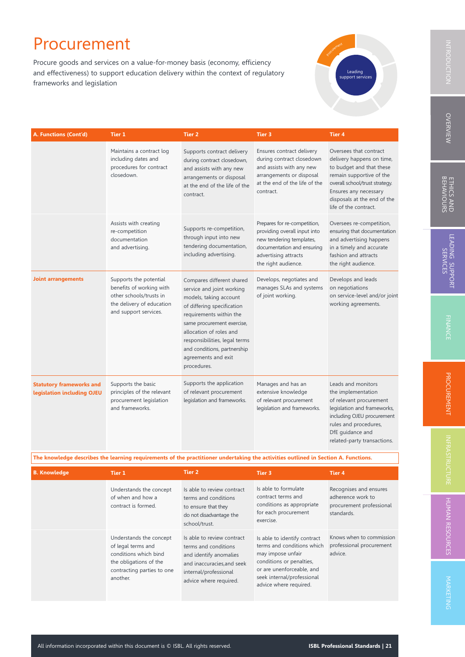Procure goods and services on a value-for-money basis (economy, efficiency and effectiveness) to support education delivery within the context of regulatory frameworks and legislation



| A. Functions (Cont'd)                                         | Tier 1                                                                                                                              | <b>Tier 2</b>                                                                                                                                                                                                                                                                                            | Tier 3                                                                                                                                                                | <b>Tier 4</b>                                                                                                                                                                                                                  |
|---------------------------------------------------------------|-------------------------------------------------------------------------------------------------------------------------------------|----------------------------------------------------------------------------------------------------------------------------------------------------------------------------------------------------------------------------------------------------------------------------------------------------------|-----------------------------------------------------------------------------------------------------------------------------------------------------------------------|--------------------------------------------------------------------------------------------------------------------------------------------------------------------------------------------------------------------------------|
|                                                               | Maintains a contract log<br>including dates and<br>procedures for contract<br>closedown.                                            | Supports contract delivery<br>during contract closedown,<br>and assists with any new<br>arrangements or disposal<br>at the end of the life of the<br>contract.                                                                                                                                           | Ensures contract delivery<br>during contract closedown<br>and assists with any new<br>arrangements or disposal<br>at the end of the life of the<br>contract.          | Oversees that contract<br>delivery happens on time,<br>to budget and that these<br>remain supportive of the<br>overall school/trust strategy.<br>Ensures any necessary<br>disposals at the end of the<br>life of the contract. |
|                                                               | Assists with creating<br>re-competition<br>documentation<br>and advertising.                                                        | Supports re-competition,<br>through input into new<br>tendering documentation,<br>including advertising.                                                                                                                                                                                                 | Prepares for re-competition,<br>providing overall input into<br>new tendering templates,<br>documentation and ensuring<br>advertising attracts<br>the right audience. | Oversees re-competition,<br>ensuring that documentation<br>and advertising happens<br>in a timely and accurate<br>fashion and attracts<br>the right audience.                                                                  |
| <b>Joint arrangements</b>                                     | Supports the potential<br>benefits of working with<br>other schools/trusts in<br>the delivery of education<br>and support services. | Compares different shared<br>service and joint working<br>models, taking account<br>of differing specification<br>requirements within the<br>same procurement exercise,<br>allocation of roles and<br>responsibilities, legal terms<br>and conditions, partnership<br>agreements and exit<br>procedures. | Develops, negotiates and<br>manages SLAs and systems<br>of joint working.                                                                                             | Develops and leads<br>on negotiations<br>on service-level and/or joint<br>working agreements.                                                                                                                                  |
| <b>Statutory frameworks and</b><br>legislation including OJEU | Supports the basic<br>principles of the relevant<br>procurement legislation<br>and frameworks.                                      | Supports the application<br>of relevant procurement<br>legislation and frameworks.                                                                                                                                                                                                                       | Manages and has an<br>extensive knowledge<br>of relevant procurement<br>legislation and frameworks.                                                                   | Leads and monitors<br>the implementation<br>of relevant procurement<br>legislation and frameworks,<br>including OJEU procurement<br>rules and procedures,<br>DfE guidance and                                                  |

The knowledge describes the learning requirements of the practitioner undertaking the activities outlined in Section A. Functions.

| <b>B. Knowledge</b> | Tier 1                                                                                                                                     | Tier 2                                                                                                                                                        | Tier 3                                                                                                                                                                                           | Tier 4                                                                                |
|---------------------|--------------------------------------------------------------------------------------------------------------------------------------------|---------------------------------------------------------------------------------------------------------------------------------------------------------------|--------------------------------------------------------------------------------------------------------------------------------------------------------------------------------------------------|---------------------------------------------------------------------------------------|
|                     | Understands the concept<br>of when and how a<br>contract is formed.                                                                        | Is able to review contract<br>terms and conditions<br>to ensure that they<br>do not disadvantage the<br>school/trust.                                         | Is able to formulate<br>contract terms and<br>conditions as appropriate<br>for each procurement<br>exercise.                                                                                     | Recognises and ensures<br>adherence work to<br>procurement professional<br>standards. |
|                     | Understands the concept<br>of legal terms and<br>conditions which bind<br>the obligations of the<br>contracting parties to one<br>another. | Is able to review contract<br>terms and conditions<br>and identify anomalies<br>and inaccuracies, and seek<br>internal/professional<br>advice where required. | Is able to identify contract<br>terms and conditions which<br>may impose unfair<br>conditions or penalties,<br>or are unenforceable, and<br>seek internal/professional<br>advice where required. | Knows when to commission<br>professional procurement<br>advice.                       |

related-party transactions.